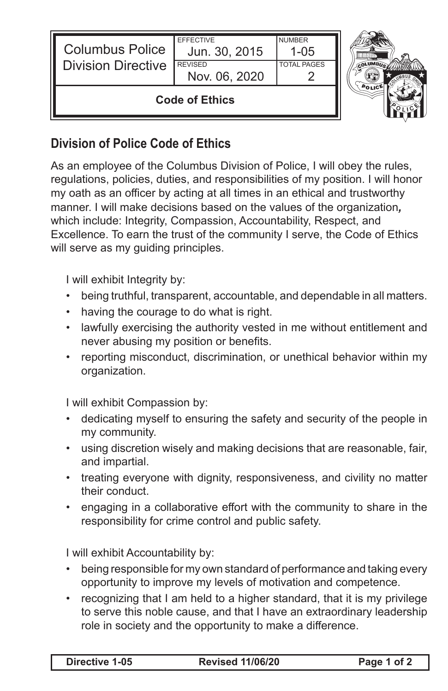| <b>Columbus Police</b><br><b>Division Directive</b> | <b>FFFFCTIVE</b><br>Jun. 30, 2015<br><b>REVISED</b><br>Nov. 06, 2020 | <b>NUMBER</b><br>1-05<br><b>TOTAL PAGES</b> |  |
|-----------------------------------------------------|----------------------------------------------------------------------|---------------------------------------------|--|
| <b>Code of Ethics</b>                               |                                                                      |                                             |  |

## **Division of Police Code of Ethics**

As an employee of the Columbus Division of Police, I will obey the rules, regulations, policies, duties, and responsibilities of my position. I will honor my oath as an officer by acting at all times in an ethical and trustworthy manner. I will make decisions based on the values of the organization*,*  which include: Integrity, Compassion, Accountability, Respect, and Excellence. To earn the trust of the community I serve, the Code of Ethics will serve as my guiding principles.

I will exhibit Integrity by:

- being truthful, transparent, accountable, and dependable in all matters.
- having the courage to do what is right.
- lawfully exercising the authority vested in me without entitlement and never abusing my position or benefits.
- reporting misconduct, discrimination, or unethical behavior within my organization.

I will exhibit Compassion by:

- dedicating myself to ensuring the safety and security of the people in my community.
- using discretion wisely and making decisions that are reasonable, fair, and impartial.
- treating everyone with dignity, responsiveness, and civility no matter their conduct.
- engaging in a collaborative effort with the community to share in the responsibility for crime control and public safety.

I will exhibit Accountability by:

- being responsible for my own standard of performance and taking every opportunity to improve my levels of motivation and competence.
- recognizing that I am held to a higher standard, that it is my privilege to serve this noble cause, and that I have an extraordinary leadership role in society and the opportunity to make a difference.